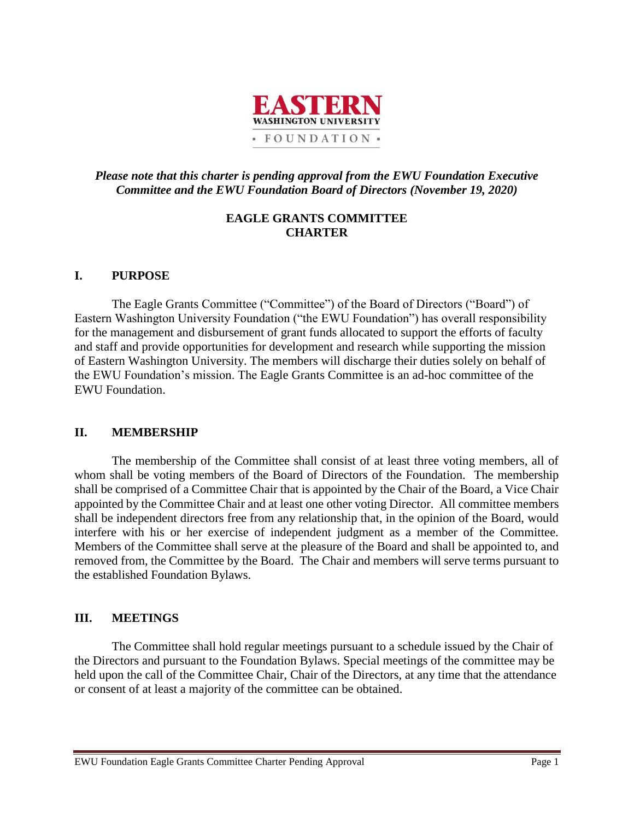

# *Please note that this charter is pending approval from the EWU Foundation Executive Committee and the EWU Foundation Board of Directors (November 19, 2020)*

# **EAGLE GRANTS COMMITTEE CHARTER**

# **I. PURPOSE**

The Eagle Grants Committee ("Committee") of the Board of Directors ("Board") of Eastern Washington University Foundation ("the EWU Foundation") has overall responsibility for the management and disbursement of grant funds allocated to support the efforts of faculty and staff and provide opportunities for development and research while supporting the mission of Eastern Washington University. The members will discharge their duties solely on behalf of the EWU Foundation's mission. The Eagle Grants Committee is an ad-hoc committee of the EWU Foundation.

#### **II. MEMBERSHIP**

The membership of the Committee shall consist of at least three voting members, all of whom shall be voting members of the Board of Directors of the Foundation. The membership shall be comprised of a Committee Chair that is appointed by the Chair of the Board, a Vice Chair appointed by the Committee Chair and at least one other voting Director. All committee members shall be independent directors free from any relationship that, in the opinion of the Board, would interfere with his or her exercise of independent judgment as a member of the Committee. Members of the Committee shall serve at the pleasure of the Board and shall be appointed to, and removed from, the Committee by the Board. The Chair and members will serve terms pursuant to the established Foundation Bylaws.

#### **III. MEETINGS**

The Committee shall hold regular meetings pursuant to a schedule issued by the Chair of the Directors and pursuant to the Foundation Bylaws. Special meetings of the committee may be held upon the call of the Committee Chair, Chair of the Directors, at any time that the attendance or consent of at least a majority of the committee can be obtained.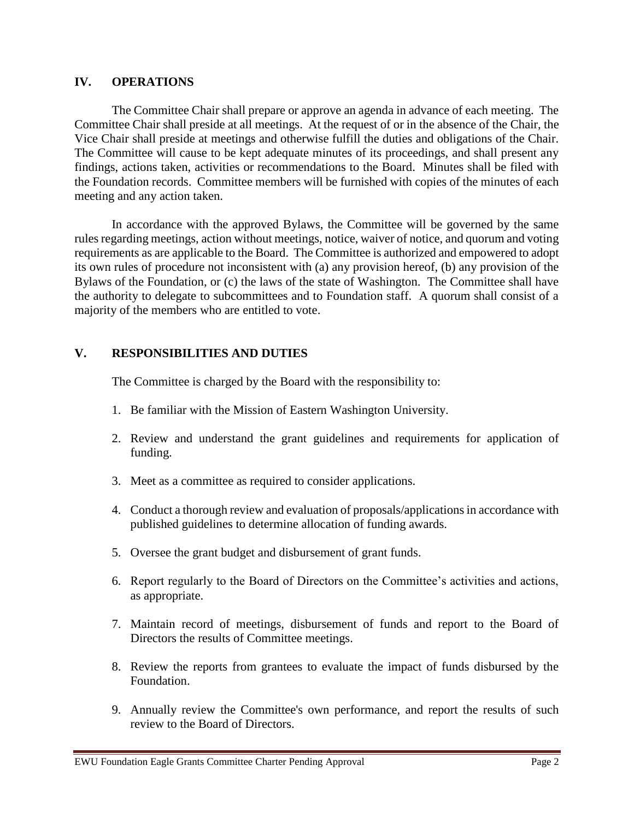### **IV. OPERATIONS**

The Committee Chair shall prepare or approve an agenda in advance of each meeting. The Committee Chair shall preside at all meetings. At the request of or in the absence of the Chair, the Vice Chair shall preside at meetings and otherwise fulfill the duties and obligations of the Chair. The Committee will cause to be kept adequate minutes of its proceedings, and shall present any findings, actions taken, activities or recommendations to the Board. Minutes shall be filed with the Foundation records. Committee members will be furnished with copies of the minutes of each meeting and any action taken.

In accordance with the approved Bylaws, the Committee will be governed by the same rules regarding meetings, action without meetings, notice, waiver of notice, and quorum and voting requirements as are applicable to the Board. The Committee is authorized and empowered to adopt its own rules of procedure not inconsistent with (a) any provision hereof, (b) any provision of the Bylaws of the Foundation, or (c) the laws of the state of Washington. The Committee shall have the authority to delegate to subcommittees and to Foundation staff. A quorum shall consist of a majority of the members who are entitled to vote.

# **V. RESPONSIBILITIES AND DUTIES**

The Committee is charged by the Board with the responsibility to:

- 1. Be familiar with the Mission of Eastern Washington University.
- 2. Review and understand the grant guidelines and requirements for application of funding.
- 3. Meet as a committee as required to consider applications.
- 4. Conduct a thorough review and evaluation of proposals/applications in accordance with published guidelines to determine allocation of funding awards.
- 5. Oversee the grant budget and disbursement of grant funds.
- 6. Report regularly to the Board of Directors on the Committee's activities and actions, as appropriate.
- 7. Maintain record of meetings, disbursement of funds and report to the Board of Directors the results of Committee meetings.
- 8. Review the reports from grantees to evaluate the impact of funds disbursed by the Foundation.
- 9. Annually review the Committee's own performance, and report the results of such review to the Board of Directors.